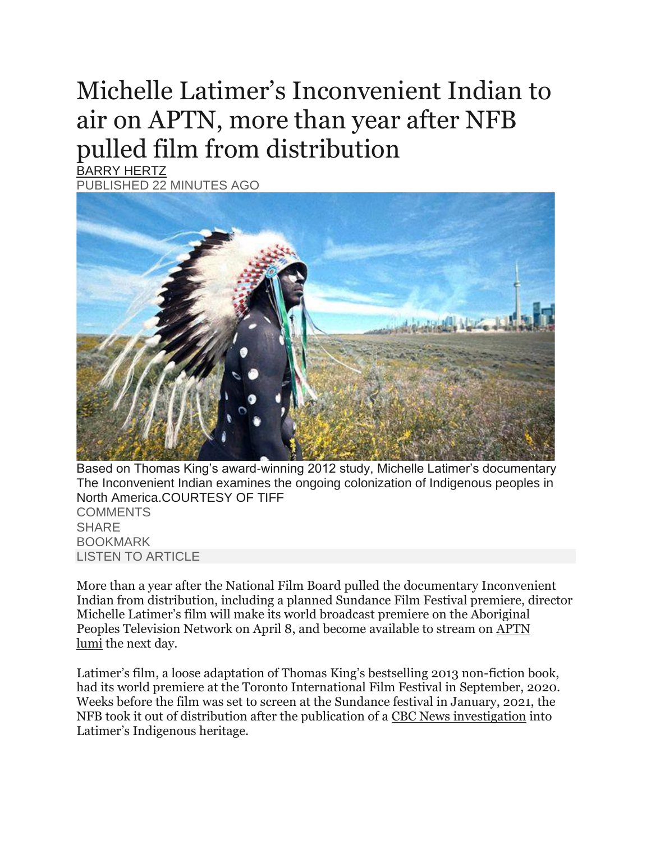## Michelle Latimer's Inconvenient Indian to air on APTN, more than year after NFB pulled film from distribution

[BARRY HERTZ](https://www.theglobeandmail.com/authors/barry-hertz/) PUBLISHED 22 MINUTES AGO



Based on Thomas King's award-winning 2012 study, Michelle Latimer's documentary The Inconvenient Indian examines the ongoing colonization of Indigenous peoples in North America.COURTESY OF TIFF **[COMMENTS](https://www.theglobeandmail.com/arts/film/article-michelle-latimers-inconvenient-indian-to-air-on-aptn-more-than-year/?utm_source=dlvr.it&utm_medium=twitter#comments) SHARE** BOOKMARK LISTEN TO ARTICLE

More than a year after the National Film Board pulled the documentary Inconvenient Indian from distribution, including a planned Sundance Film Festival premiere, director Michelle Latimer's film will make its world broadcast premiere on the Aboriginal Peoples Television Network on April 8, and become available to stream on [APTN](https://aptnlumi.ca/#/auth)  [lumi](https://aptnlumi.ca/#/auth) the next day.

Latimer's film, a loose adaptation of Thomas King's bestselling 2013 non-fiction book, had its world premiere at the Toronto International Film Festival in September, 2020. Weeks before the film was set to screen at the Sundance festival in January, 2021, the NFB took it out of distribution after the publication of a [CBC News investigation](https://www.cbc.ca/news/indigenous/michelle-latimer-kitigan-zibi-indigenous-identity-1.5845310) into Latimer's Indigenous heritage.